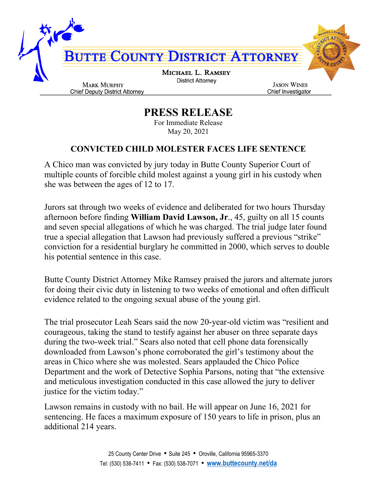

## **PRESS RELEASE**

For Immediate Release May 20, 2021

## **CONVICTED CHILD MOLESTER FACES LIFE SENTENCE**

A Chico man was convicted by jury today in Butte County Superior Court of multiple counts of forcible child molest against a young girl in his custody when she was between the ages of 12 to 17.

Jurors sat through two weeks of evidence and deliberated for two hours Thursday afternoon before finding **William David Lawson, Jr**., 45, guilty on all 15 counts and seven special allegations of which he was charged. The trial judge later found true a special allegation that Lawson had previously suffered a previous "strike" conviction for a residential burglary he committed in 2000, which serves to double his potential sentence in this case.

Butte County District Attorney Mike Ramsey praised the jurors and alternate jurors for doing their civic duty in listening to two weeks of emotional and often difficult evidence related to the ongoing sexual abuse of the young girl.

The trial prosecutor Leah Sears said the now 20-year-old victim was "resilient and courageous, taking the stand to testify against her abuser on three separate days during the two-week trial." Sears also noted that cell phone data forensically downloaded from Lawson's phone corroborated the girl's testimony about the areas in Chico where she was molested. Sears applauded the Chico Police Department and the work of Detective Sophia Parsons, noting that "the extensive and meticulous investigation conducted in this case allowed the jury to deliver justice for the victim today."

Lawson remains in custody with no bail. He will appear on June 16, 2021 for sentencing. He faces a maximum exposure of 150 years to life in prison, plus an additional 214 years.